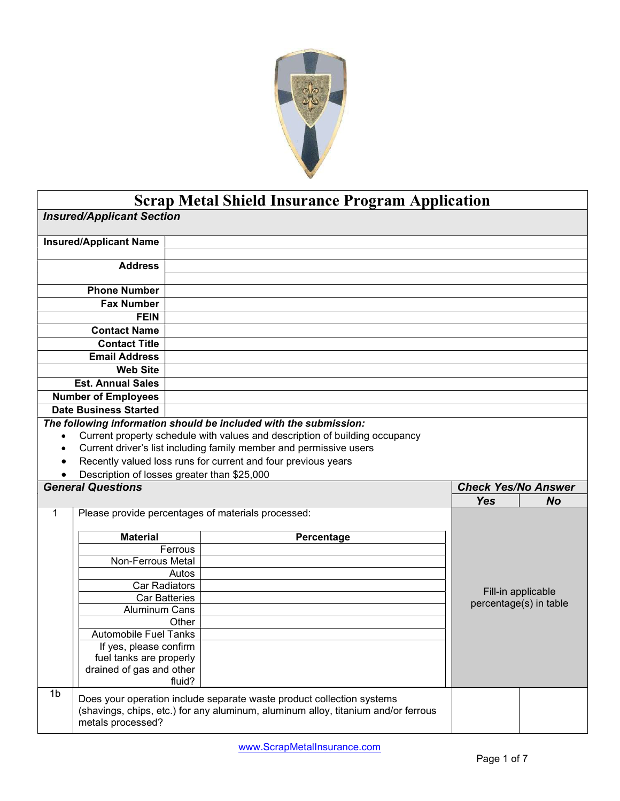

## Scrap Metal Shield Insurance Program Application

|              | <b>Insured/Applicant Section</b>                    |                      |                                                                             |                            |                                              |
|--------------|-----------------------------------------------------|----------------------|-----------------------------------------------------------------------------|----------------------------|----------------------------------------------|
|              | <b>Insured/Applicant Name</b>                       |                      |                                                                             |                            |                                              |
|              | <b>Address</b>                                      |                      |                                                                             |                            |                                              |
|              |                                                     |                      |                                                                             |                            |                                              |
|              | <b>Phone Number</b>                                 |                      |                                                                             |                            |                                              |
|              | <b>Fax Number</b>                                   |                      |                                                                             |                            |                                              |
|              | <b>FEIN</b>                                         |                      |                                                                             |                            |                                              |
|              | <b>Contact Name</b>                                 |                      |                                                                             |                            |                                              |
|              | <b>Contact Title</b>                                |                      |                                                                             |                            |                                              |
|              | <b>Email Address</b>                                |                      |                                                                             |                            |                                              |
|              | <b>Web Site</b>                                     |                      |                                                                             |                            |                                              |
|              | <b>Est. Annual Sales</b>                            |                      |                                                                             |                            |                                              |
|              | <b>Number of Employees</b>                          |                      |                                                                             |                            |                                              |
|              | <b>Date Business Started</b>                        |                      |                                                                             |                            |                                              |
|              |                                                     |                      | The following information should be included with the submission:           |                            |                                              |
| $\bullet$    |                                                     |                      | Current property schedule with values and description of building occupancy |                            |                                              |
| $\bullet$    |                                                     |                      | Current driver's list including family member and permissive users          |                            |                                              |
| $\bullet$    |                                                     |                      | Recently valued loss runs for current and four previous years               |                            |                                              |
| $\bullet$    |                                                     |                      |                                                                             |                            |                                              |
|              |                                                     |                      | Description of losses greater than \$25,000                                 |                            |                                              |
|              | <b>General Questions</b>                            |                      |                                                                             | <b>Check Yes/No Answer</b> |                                              |
|              |                                                     |                      |                                                                             | <b>Yes</b>                 | <b>No</b>                                    |
| $\mathbf{1}$ |                                                     |                      | Please provide percentages of materials processed:                          |                            |                                              |
|              | <b>Material</b>                                     |                      | Percentage                                                                  |                            |                                              |
|              |                                                     | Ferrous              |                                                                             |                            |                                              |
|              | Non-Ferrous Metal                                   |                      |                                                                             |                            |                                              |
|              |                                                     | Autos                |                                                                             |                            |                                              |
|              | <b>Car Radiators</b>                                |                      |                                                                             |                            |                                              |
|              |                                                     | <b>Car Batteries</b> |                                                                             |                            | Fill-in applicable<br>percentage(s) in table |
|              | <b>Aluminum Cans</b>                                |                      |                                                                             |                            |                                              |
|              |                                                     | Other                |                                                                             |                            |                                              |
|              | <b>Automobile Fuel Tanks</b>                        |                      |                                                                             |                            |                                              |
|              | If yes, please confirm                              |                      |                                                                             |                            |                                              |
|              | fuel tanks are properly<br>drained of gas and other |                      |                                                                             |                            |                                              |
|              |                                                     | fluid?               |                                                                             |                            |                                              |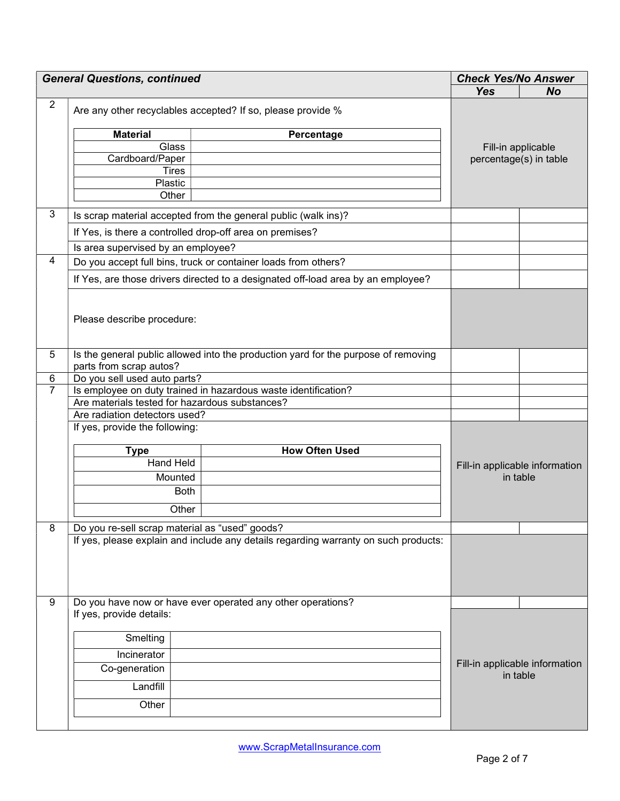| <b>General Questions, continued</b> |                                                             |                                                                                     | <b>Check Yes/No Answer</b>                 |                        |  |
|-------------------------------------|-------------------------------------------------------------|-------------------------------------------------------------------------------------|--------------------------------------------|------------------------|--|
|                                     |                                                             | <b>Yes</b>                                                                          | <b>No</b>                                  |                        |  |
| $\overline{2}$                      | Are any other recyclables accepted? If so, please provide % |                                                                                     |                                            |                        |  |
|                                     | <b>Material</b>                                             | Percentage                                                                          |                                            |                        |  |
|                                     | Glass                                                       |                                                                                     | Fill-in applicable                         |                        |  |
|                                     | Cardboard/Paper                                             |                                                                                     |                                            | percentage(s) in table |  |
|                                     | <b>Tires</b>                                                |                                                                                     |                                            |                        |  |
|                                     | Plastic                                                     |                                                                                     |                                            |                        |  |
|                                     | Other                                                       |                                                                                     |                                            |                        |  |
| 3                                   |                                                             | Is scrap material accepted from the general public (walk ins)?                      |                                            |                        |  |
|                                     |                                                             | If Yes, is there a controlled drop-off area on premises?                            |                                            |                        |  |
|                                     | Is area supervised by an employee?                          |                                                                                     |                                            |                        |  |
| 4                                   |                                                             | Do you accept full bins, truck or container loads from others?                      |                                            |                        |  |
|                                     |                                                             | If Yes, are those drivers directed to a designated off-load area by an employee?    |                                            |                        |  |
|                                     | Please describe procedure:                                  |                                                                                     |                                            |                        |  |
| 5                                   | parts from scrap autos?                                     | Is the general public allowed into the production yard for the purpose of removing  |                                            |                        |  |
| $\,6$                               | Do you sell used auto parts?                                |                                                                                     |                                            |                        |  |
| $\overline{7}$                      |                                                             | Is employee on duty trained in hazardous waste identification?                      |                                            |                        |  |
|                                     | Are materials tested for hazardous substances?              |                                                                                     |                                            |                        |  |
|                                     | Are radiation detectors used?                               |                                                                                     |                                            |                        |  |
|                                     | If yes, provide the following:                              |                                                                                     |                                            |                        |  |
|                                     | <b>Type</b>                                                 | <b>How Often Used</b>                                                               |                                            |                        |  |
|                                     | <b>Hand Held</b>                                            |                                                                                     | Fill-in applicable information<br>in table |                        |  |
|                                     | Mounted                                                     |                                                                                     |                                            |                        |  |
|                                     | <b>Both</b>                                                 |                                                                                     |                                            |                        |  |
|                                     |                                                             |                                                                                     |                                            |                        |  |
|                                     | Other                                                       |                                                                                     |                                            |                        |  |
| 8                                   | Do you re-sell scrap material as "used" goods?              |                                                                                     |                                            |                        |  |
|                                     |                                                             | If yes, please explain and include any details regarding warranty on such products: |                                            |                        |  |
|                                     |                                                             |                                                                                     |                                            |                        |  |
| 9                                   |                                                             | Do you have now or have ever operated any other operations?                         |                                            |                        |  |
|                                     | If yes, provide details:                                    |                                                                                     |                                            |                        |  |
|                                     | Smelting                                                    |                                                                                     |                                            |                        |  |
|                                     | Incinerator                                                 |                                                                                     | Fill-in applicable information<br>in table |                        |  |
|                                     | Co-generation                                               |                                                                                     |                                            |                        |  |
|                                     | Landfill                                                    |                                                                                     |                                            |                        |  |
|                                     | Other                                                       |                                                                                     |                                            |                        |  |
|                                     |                                                             |                                                                                     |                                            |                        |  |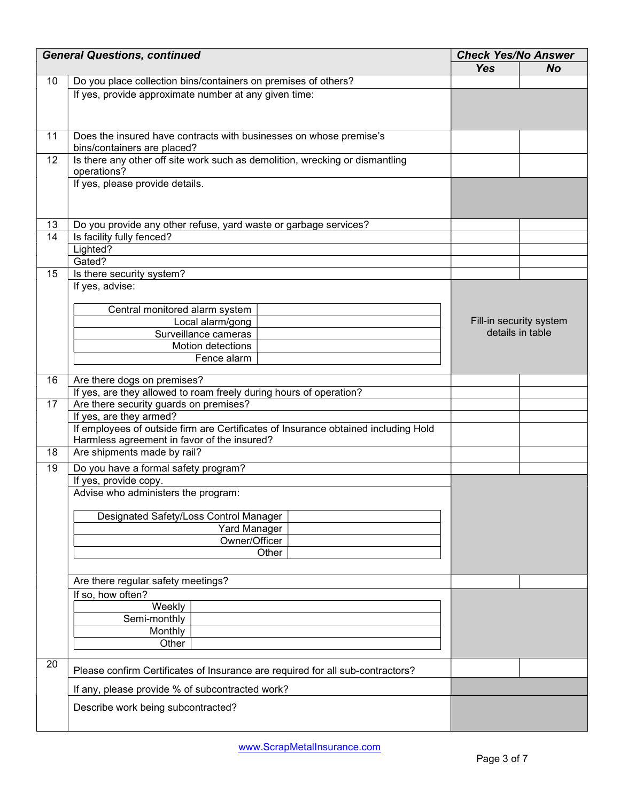|    | <b>General Questions, continued</b>                                                |            | <b>Check Yes/No Answer</b> |  |
|----|------------------------------------------------------------------------------------|------------|----------------------------|--|
|    |                                                                                    | <b>Yes</b> | <b>No</b>                  |  |
| 10 | Do you place collection bins/containers on premises of others?                     |            |                            |  |
|    | If yes, provide approximate number at any given time:                              |            |                            |  |
|    |                                                                                    |            |                            |  |
|    |                                                                                    |            |                            |  |
| 11 | Does the insured have contracts with businesses on whose premise's                 |            |                            |  |
|    | bins/containers are placed?                                                        |            |                            |  |
| 12 | Is there any other off site work such as demolition, wrecking or dismantling       |            |                            |  |
|    | operations?                                                                        |            |                            |  |
|    | If yes, please provide details.                                                    |            |                            |  |
|    |                                                                                    |            |                            |  |
|    |                                                                                    |            |                            |  |
| 13 | Do you provide any other refuse, yard waste or garbage services?                   |            |                            |  |
| 14 | Is facility fully fenced?                                                          |            |                            |  |
|    | Lighted?                                                                           |            |                            |  |
|    | Gated?                                                                             |            |                            |  |
| 15 | Is there security system?                                                          |            |                            |  |
|    | If yes, advise:                                                                    |            |                            |  |
|    |                                                                                    |            |                            |  |
|    | Central monitored alarm system                                                     |            | Fill-in security system    |  |
|    | Local alarm/gong<br>Surveillance cameras                                           |            | details in table           |  |
|    | Motion detections                                                                  |            |                            |  |
|    | Fence alarm                                                                        |            |                            |  |
|    |                                                                                    |            |                            |  |
| 16 | Are there dogs on premises?                                                        |            |                            |  |
|    | If yes, are they allowed to roam freely during hours of operation?                 |            |                            |  |
| 17 | Are there security guards on premises?                                             |            |                            |  |
|    | If yes, are they armed?                                                            |            |                            |  |
|    | If employees of outside firm are Certificates of Insurance obtained including Hold |            |                            |  |
| 18 | Harmless agreement in favor of the insured?                                        |            |                            |  |
|    | Are shipments made by rail?                                                        |            |                            |  |
| 19 | Do you have a formal safety program?                                               |            |                            |  |
|    | If yes, provide copy.                                                              |            |                            |  |
|    | Advise who administers the program:                                                |            |                            |  |
|    | Designated Safety/Loss Control Manager                                             |            |                            |  |
|    | <b>Yard Manager</b>                                                                |            |                            |  |
|    | Owner/Officer                                                                      |            |                            |  |
|    | Other                                                                              |            |                            |  |
|    |                                                                                    |            |                            |  |
|    | Are there regular safety meetings?                                                 |            |                            |  |
|    | If so, how often?                                                                  |            |                            |  |
|    | Weekly                                                                             |            |                            |  |
|    | Semi-monthly                                                                       |            |                            |  |
|    | Monthly                                                                            |            |                            |  |
|    | Other                                                                              |            |                            |  |
|    |                                                                                    |            |                            |  |
| 20 | Please confirm Certificates of Insurance are required for all sub-contractors?     |            |                            |  |
|    | If any, please provide % of subcontracted work?                                    |            |                            |  |
|    | Describe work being subcontracted?                                                 |            |                            |  |
|    |                                                                                    |            |                            |  |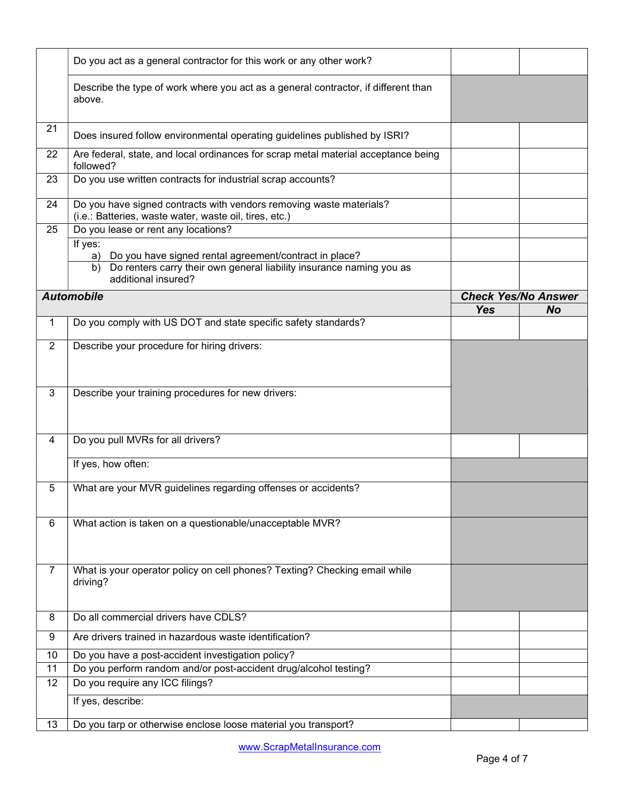|                | Do you act as a general contractor for this work or any other work?                                                           |            |                            |
|----------------|-------------------------------------------------------------------------------------------------------------------------------|------------|----------------------------|
|                | Describe the type of work where you act as a general contractor, if different than<br>above.                                  |            |                            |
| 21             | Does insured follow environmental operating guidelines published by ISRI?                                                     |            |                            |
| 22             | Are federal, state, and local ordinances for scrap metal material acceptance being<br>followed?                               |            |                            |
| 23             | Do you use written contracts for industrial scrap accounts?                                                                   |            |                            |
| 24             | Do you have signed contracts with vendors removing waste materials?<br>(i.e.: Batteries, waste water, waste oil, tires, etc.) |            |                            |
| 25             | Do you lease or rent any locations?                                                                                           |            |                            |
|                | If yes:                                                                                                                       |            |                            |
|                | Do you have signed rental agreement/contract in place?<br>a)                                                                  |            |                            |
|                | Do renters carry their own general liability insurance naming you as<br>b)<br>additional insured?                             |            |                            |
|                | <b>Automobile</b>                                                                                                             |            | <b>Check Yes/No Answer</b> |
|                |                                                                                                                               | <b>Yes</b> | <b>No</b>                  |
| 1              | Do you comply with US DOT and state specific safety standards?                                                                |            |                            |
| $\overline{2}$ | Describe your procedure for hiring drivers:                                                                                   |            |                            |
|                |                                                                                                                               |            |                            |
|                |                                                                                                                               |            |                            |
| 3              |                                                                                                                               |            |                            |
|                | Describe your training procedures for new drivers:                                                                            |            |                            |
|                |                                                                                                                               |            |                            |
|                |                                                                                                                               |            |                            |
| 4              | Do you pull MVRs for all drivers?                                                                                             |            |                            |
|                | If yes, how often:                                                                                                            |            |                            |
|                |                                                                                                                               |            |                            |
| 5              | What are your MVR guidelines regarding offenses or accidents?                                                                 |            |                            |
|                |                                                                                                                               |            |                            |
| 6              | What action is taken on a questionable/unacceptable MVR?                                                                      |            |                            |
|                |                                                                                                                               |            |                            |
|                |                                                                                                                               |            |                            |
| $\overline{7}$ | What is your operator policy on cell phones? Texting? Checking email while                                                    |            |                            |
|                | driving?                                                                                                                      |            |                            |
|                |                                                                                                                               |            |                            |
| 8              | Do all commercial drivers have CDLS?                                                                                          |            |                            |
| 9              | Are drivers trained in hazardous waste identification?                                                                        |            |                            |
| 10             | Do you have a post-accident investigation policy?                                                                             |            |                            |
| 11             | Do you perform random and/or post-accident drug/alcohol testing?                                                              |            |                            |
| 12             | Do you require any ICC filings?                                                                                               |            |                            |
|                | If yes, describe:                                                                                                             |            |                            |
|                |                                                                                                                               |            |                            |
| 13             | Do you tarp or otherwise enclose loose material you transport?                                                                |            |                            |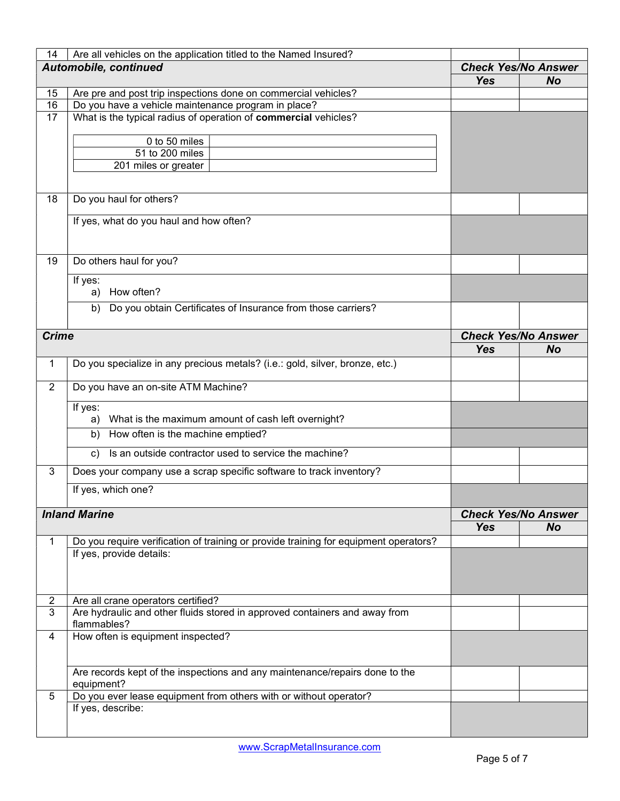| 14                    | Are all vehicles on the application titled to the Named Insured?                          |                            |                                         |
|-----------------------|-------------------------------------------------------------------------------------------|----------------------------|-----------------------------------------|
| Automobile, continued |                                                                                           | <b>Check Yes/No Answer</b> |                                         |
|                       |                                                                                           | <b>Yes</b>                 | <b>No</b>                               |
| 15                    | Are pre and post trip inspections done on commercial vehicles?                            |                            |                                         |
| 16                    | Do you have a vehicle maintenance program in place?                                       |                            |                                         |
| 17                    | What is the typical radius of operation of commercial vehicles?                           |                            |                                         |
|                       | 0 to 50 miles                                                                             |                            |                                         |
|                       | 51 to 200 miles                                                                           |                            |                                         |
|                       | 201 miles or greater                                                                      |                            |                                         |
|                       |                                                                                           |                            |                                         |
| 18                    | Do you haul for others?                                                                   |                            |                                         |
|                       | If yes, what do you haul and how often?                                                   |                            |                                         |
| 19                    | Do others haul for you?                                                                   |                            |                                         |
|                       |                                                                                           |                            |                                         |
|                       | If yes:<br>a) How often?                                                                  |                            |                                         |
|                       | Do you obtain Certificates of Insurance from those carriers?<br>b)                        |                            |                                         |
| <b>Crime</b>          |                                                                                           |                            |                                         |
|                       |                                                                                           | <b>Yes</b>                 | <b>Check Yes/No Answer</b><br><b>No</b> |
|                       |                                                                                           |                            |                                         |
| 1                     | Do you specialize in any precious metals? (i.e.: gold, silver, bronze, etc.)              |                            |                                         |
| $\overline{2}$        | Do you have an on-site ATM Machine?                                                       |                            |                                         |
|                       | If yes:<br>What is the maximum amount of cash left overnight?<br>a)                       |                            |                                         |
|                       | How often is the machine emptied?<br>b)                                                   |                            |                                         |
|                       | Is an outside contractor used to service the machine?<br>$\mathsf{c}$ )                   |                            |                                         |
| 3                     | Does your company use a scrap specific software to track inventory?                       |                            |                                         |
|                       | If yes, which one?                                                                        |                            |                                         |
|                       | <b>Inland Marine</b>                                                                      | <b>Check Yes/No Answer</b> |                                         |
|                       |                                                                                           | <b>Yes</b>                 | <b>No</b>                               |
| 1                     | Do you require verification of training or provide training for equipment operators?      |                            |                                         |
|                       | If yes, provide details:                                                                  |                            |                                         |
|                       |                                                                                           |                            |                                         |
|                       |                                                                                           |                            |                                         |
| $\overline{c}$        | Are all crane operators certified?                                                        |                            |                                         |
| $\overline{3}$        | Are hydraulic and other fluids stored in approved containers and away from                |                            |                                         |
|                       | flammables?                                                                               |                            |                                         |
| 4                     | How often is equipment inspected?                                                         |                            |                                         |
|                       |                                                                                           |                            |                                         |
|                       | Are records kept of the inspections and any maintenance/repairs done to the<br>equipment? |                            |                                         |
| 5                     | Do you ever lease equipment from others with or without operator?                         |                            |                                         |
|                       | If yes, describe:                                                                         |                            |                                         |
|                       |                                                                                           |                            |                                         |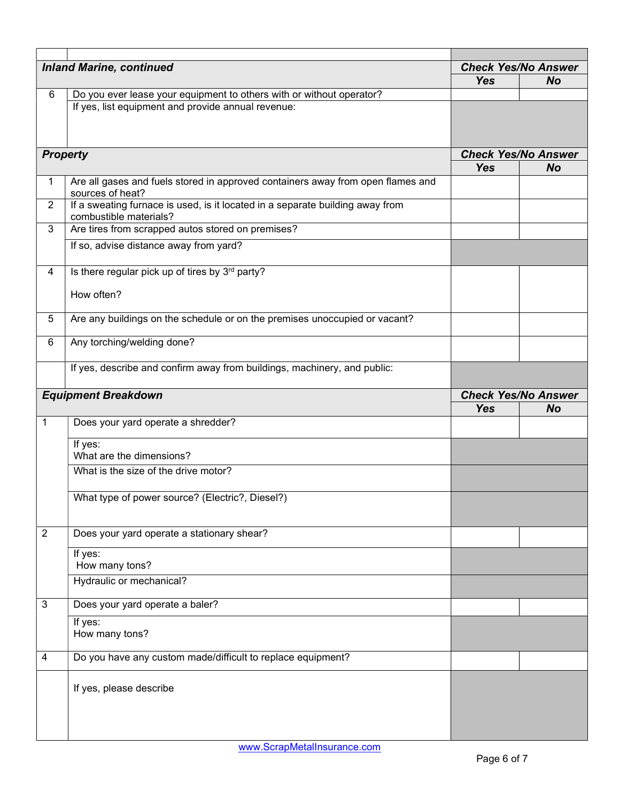|                | <b>Inland Marine, continued</b>                                                                         |                                                       | <b>Check Yes/No Answer</b> |
|----------------|---------------------------------------------------------------------------------------------------------|-------------------------------------------------------|----------------------------|
| 6              | Do you ever lease your equipment to others with or without operator?                                    | <b>Yes</b>                                            | <b>No</b>                  |
|                | If yes, list equipment and provide annual revenue:                                                      |                                                       |                            |
|                | <b>Property</b>                                                                                         | <b>Check Yes/No Answer</b><br><b>Yes</b><br><b>No</b> |                            |
| 1              | Are all gases and fuels stored in approved containers away from open flames and<br>sources of heat?     |                                                       |                            |
| $\overline{2}$ | If a sweating furnace is used, is it located in a separate building away from<br>combustible materials? |                                                       |                            |
| 3              | Are tires from scrapped autos stored on premises?                                                       |                                                       |                            |
|                | If so, advise distance away from yard?                                                                  |                                                       |                            |
| 4              | Is there regular pick up of tires by 3rd party?                                                         |                                                       |                            |
|                | How often?                                                                                              |                                                       |                            |
| 5              | Are any buildings on the schedule or on the premises unoccupied or vacant?                              |                                                       |                            |
| 6              | Any torching/welding done?                                                                              |                                                       |                            |
|                | If yes, describe and confirm away from buildings, machinery, and public:                                |                                                       |                            |
|                | <b>Equipment Breakdown</b>                                                                              | <b>Check Yes/No Answer</b><br><b>Yes</b><br><b>No</b> |                            |
| $\mathbf{1}$   | Does your yard operate a shredder?                                                                      |                                                       |                            |
|                | If yes:<br>What are the dimensions?                                                                     |                                                       |                            |
|                | What is the size of the drive motor?                                                                    |                                                       |                            |
|                | What type of power source? (Electric?, Diesel?)                                                         |                                                       |                            |
| $\overline{2}$ | Does your yard operate a stationary shear?                                                              |                                                       |                            |
|                | If yes:<br>How many tons?                                                                               |                                                       |                            |
|                | Hydraulic or mechanical?                                                                                |                                                       |                            |
| 3              | Does your yard operate a baler?                                                                         |                                                       |                            |
|                | If yes:<br>How many tons?                                                                               |                                                       |                            |
| 4              | Do you have any custom made/difficult to replace equipment?                                             |                                                       |                            |
|                | If yes, please describe                                                                                 |                                                       |                            |